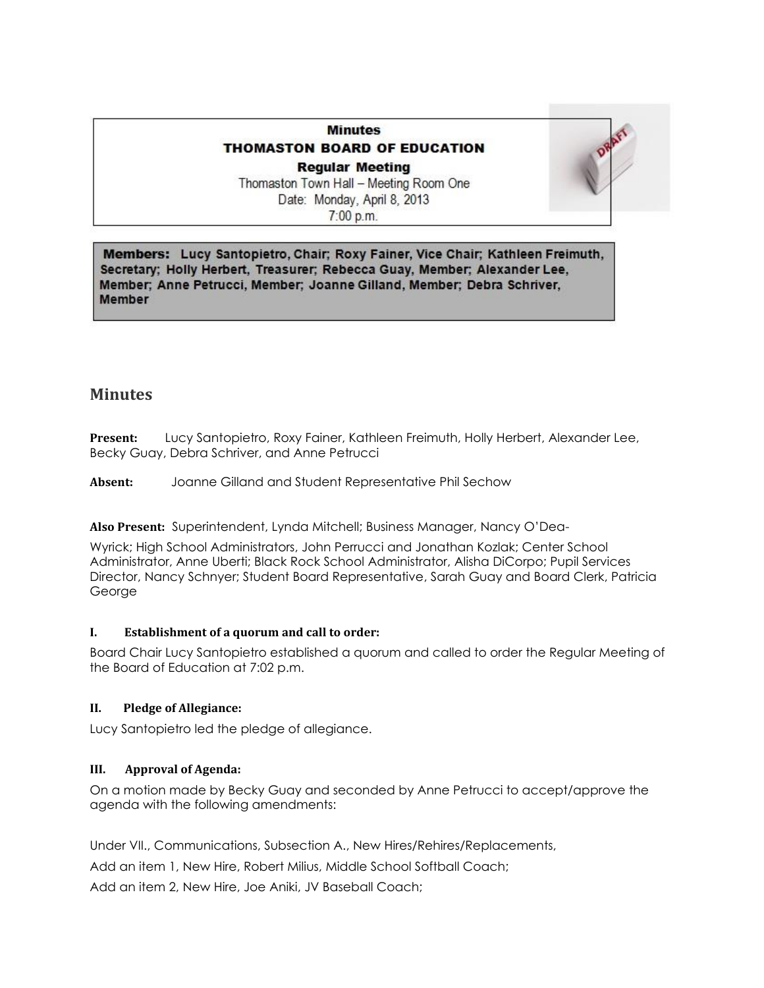# **Minutes THOMASTON BOARD OF EDUCATION**

**Regular Meeting** Thomaston Town Hall - Meeting Room One Date: Monday, April 8, 2013 7:00 p.m.

Members: Lucy Santopietro, Chair; Roxy Fainer, Vice Chair; Kathleen Freimuth, Secretary: Holly Herbert, Treasurer; Rebecca Guay, Member; Alexander Lee, Member; Anne Petrucci, Member; Joanne Gilland, Member; Debra Schriver, **Member** 

## **Minutes**

**Present:** Lucy Santopietro, Roxy Fainer, Kathleen Freimuth, Holly Herbert, Alexander Lee, Becky Guay, Debra Schriver, and Anne Petrucci

**Absent:** Joanne Gilland and Student Representative Phil Sechow

**Also Present:** Superintendent, Lynda Mitchell; Business Manager, Nancy O'Dea-

Wyrick; High School Administrators, John Perrucci and Jonathan Kozlak; Center School Administrator, Anne Uberti; Black Rock School Administrator, Alisha DiCorpo; Pupil Services Director, Nancy Schnyer; Student Board Representative, Sarah Guay and Board Clerk, Patricia George

## **I. Establishment of a quorum and call to order:**

Board Chair Lucy Santopietro established a quorum and called to order the Regular Meeting of the Board of Education at 7:02 p.m.

## **II. Pledge of Allegiance:**

Lucy Santopietro led the pledge of allegiance.

## **III. Approval of Agenda:**

On a motion made by Becky Guay and seconded by Anne Petrucci to accept/approve the agenda with the following amendments:

Under VII., Communications, Subsection A., New Hires/Rehires/Replacements,

Add an item 1, New Hire, Robert Milius, Middle School Softball Coach;

Add an item 2, New Hire, Joe Aniki, JV Baseball Coach;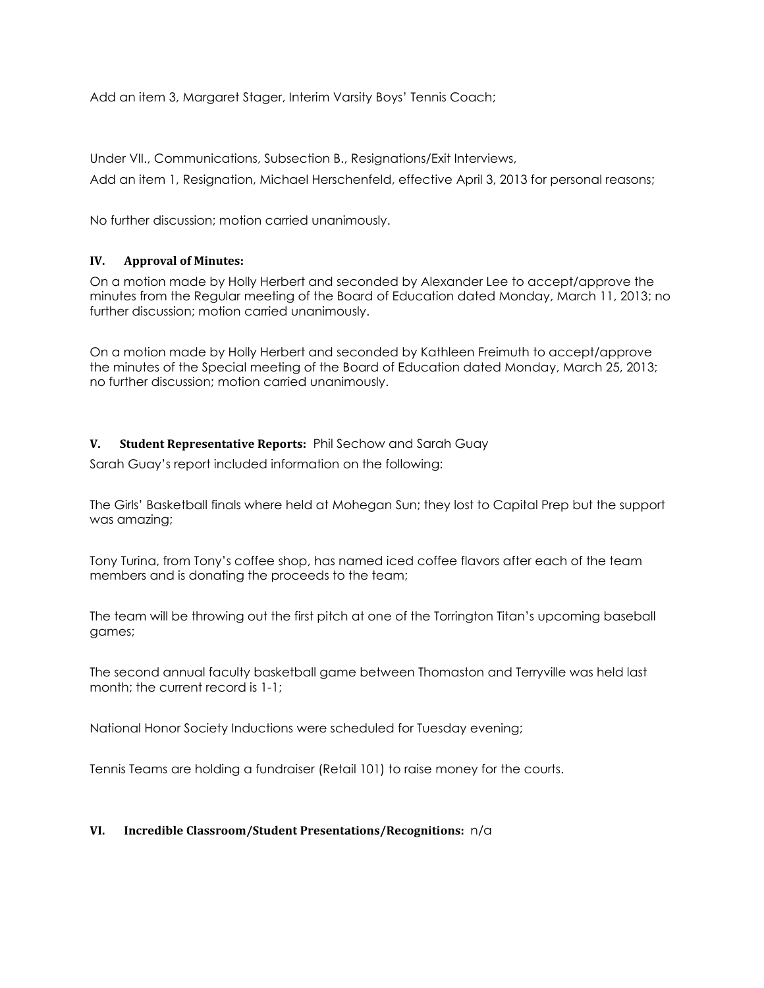Add an item 3, Margaret Stager, Interim Varsity Boys' Tennis Coach;

Under VII., Communications, Subsection B., Resignations/Exit Interviews, Add an item 1, Resignation, Michael Herschenfeld, effective April 3, 2013 for personal reasons;

No further discussion; motion carried unanimously.

## **IV. Approval of Minutes:**

On a motion made by Holly Herbert and seconded by Alexander Lee to accept/approve the minutes from the Regular meeting of the Board of Education dated Monday, March 11, 2013; no further discussion; motion carried unanimously.

On a motion made by Holly Herbert and seconded by Kathleen Freimuth to accept/approve the minutes of the Special meeting of the Board of Education dated Monday, March 25, 2013; no further discussion; motion carried unanimously.

## **V. Student Representative Reports:** Phil Sechow and Sarah Guay

Sarah Guay's report included information on the following:

The Girls' Basketball finals where held at Mohegan Sun; they lost to Capital Prep but the support was amazing;

Tony Turina, from Tony's coffee shop, has named iced coffee flavors after each of the team members and is donating the proceeds to the team;

The team will be throwing out the first pitch at one of the Torrington Titan's upcoming baseball games;

The second annual faculty basketball game between Thomaston and Terryville was held last month; the current record is 1-1;

National Honor Society Inductions were scheduled for Tuesday evening;

Tennis Teams are holding a fundraiser (Retail 101) to raise money for the courts.

## **VI. Incredible Classroom/Student Presentations/Recognitions:** n/a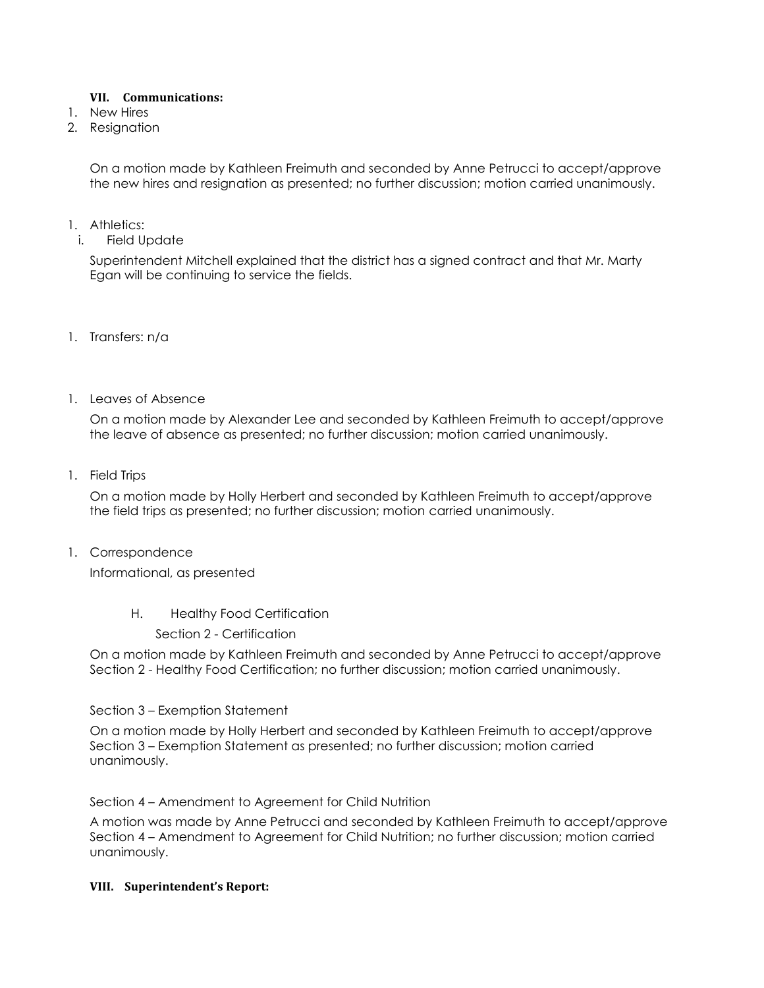## **VII. Communications:**

- 1. New Hires
- 2. Resignation

On a motion made by Kathleen Freimuth and seconded by Anne Petrucci to accept/approve the new hires and resignation as presented; no further discussion; motion carried unanimously.

#### 1. Athletics:

i. Field Update

Superintendent Mitchell explained that the district has a signed contract and that Mr. Marty Egan will be continuing to service the fields.

- 1. Transfers: n/a
- 1. Leaves of Absence

On a motion made by Alexander Lee and seconded by Kathleen Freimuth to accept/approve the leave of absence as presented; no further discussion; motion carried unanimously.

1. Field Trips

On a motion made by Holly Herbert and seconded by Kathleen Freimuth to accept/approve the field trips as presented; no further discussion; motion carried unanimously.

1. Correspondence

Informational, as presented

H. Healthy Food Certification

Section 2 - Certification

On a motion made by Kathleen Freimuth and seconded by Anne Petrucci to accept/approve Section 2 - Healthy Food Certification; no further discussion; motion carried unanimously.

Section 3 – Exemption Statement

On a motion made by Holly Herbert and seconded by Kathleen Freimuth to accept/approve Section 3 – Exemption Statement as presented; no further discussion; motion carried unanimously.

Section 4 – Amendment to Agreement for Child Nutrition

A motion was made by Anne Petrucci and seconded by Kathleen Freimuth to accept/approve Section 4 – Amendment to Agreement for Child Nutrition; no further discussion; motion carried unanimously.

#### **VIII. Superintendent's Report:**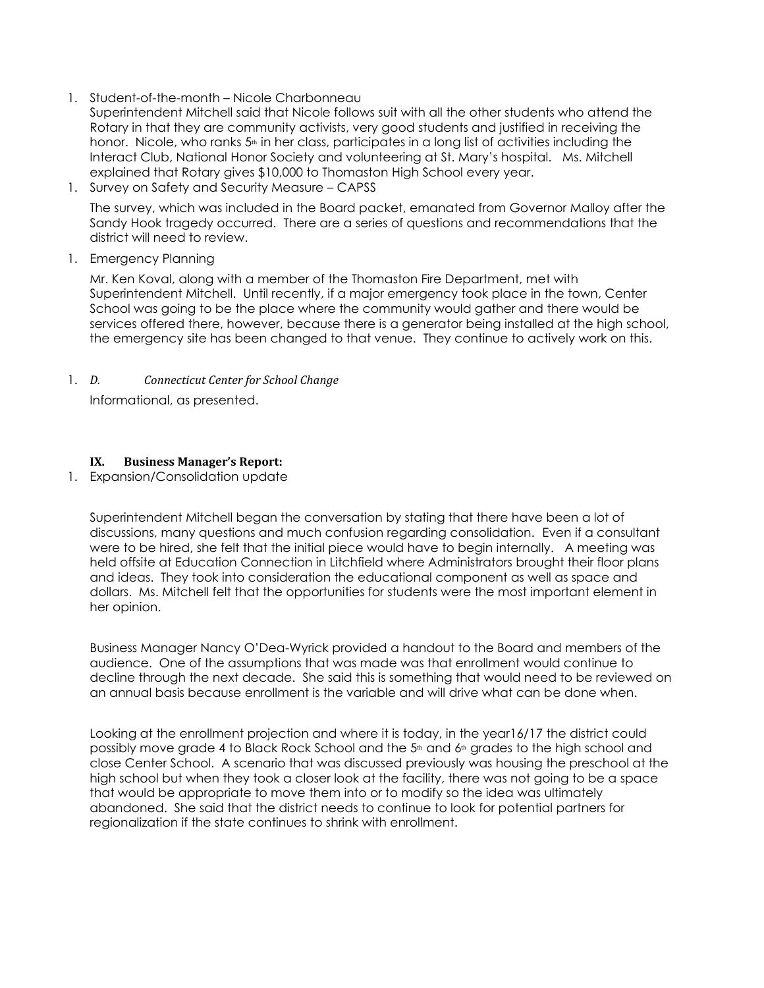1. Student-of-the-month – Nicole Charbonneau

Superintendent Mitchell said that Nicole follows suit with all the other students who attend the Rotary in that they are community activists, very good students and justified in receiving the honor. Nicole, who ranks  $5<sup>th</sup>$  in her class, participates in a long list of activities including the Interact Club, National Honor Society and volunteering at St. Mary's hospital. Ms. Mitchell explained that Rotary gives \$10,000 to Thomaston High School every year.

1. Survey on Safety and Security Measure – CAPSS

The survey, which was included in the Board packet, emanated from Governor Malloy after the Sandy Hook tragedy occurred. There are a series of questions and recommendations that the district will need to review.

1. Emergency Planning

Mr. Ken Koval, along with a member of the Thomaston Fire Department, met with Superintendent Mitchell. Until recently, if a major emergency took place in the town, Center School was going to be the place where the community would gather and there would be services offered there, however, because there is a generator being installed at the high school, the emergency site has been changed to that venue. They continue to actively work on this.

## 1. *D. Connecticut Center for School Change*

Informational, as presented.

## **IX. Business Manager's Report:**

1. Expansion/Consolidation update

Superintendent Mitchell began the conversation by stating that there have been a lot of discussions, many questions and much confusion regarding consolidation. Even if a consultant were to be hired, she felt that the initial piece would have to begin internally. A meeting was held offsite at Education Connection in Litchfield where Administrators brought their floor plans and ideas. They took into consideration the educational component as well as space and dollars. Ms. Mitchell felt that the opportunities for students were the most important element in her opinion.

Business Manager Nancy O'Dea-Wyrick provided a handout to the Board and members of the audience. One of the assumptions that was made was that enrollment would continue to decline through the next decade. She said this is something that would need to be reviewed on an annual basis because enrollment is the variable and will drive what can be done when.

Looking at the enrollment projection and where it is today, in the year16/17 the district could possibly move grade 4 to Black Rock School and the 5<sup>th</sup> and 6<sup>th</sup> grades to the high school and close Center School. A scenario that was discussed previously was housing the preschool at the high school but when they took a closer look at the facility, there was not going to be a space that would be appropriate to move them into or to modify so the idea was ultimately abandoned. She said that the district needs to continue to look for potential partners for regionalization if the state continues to shrink with enrollment.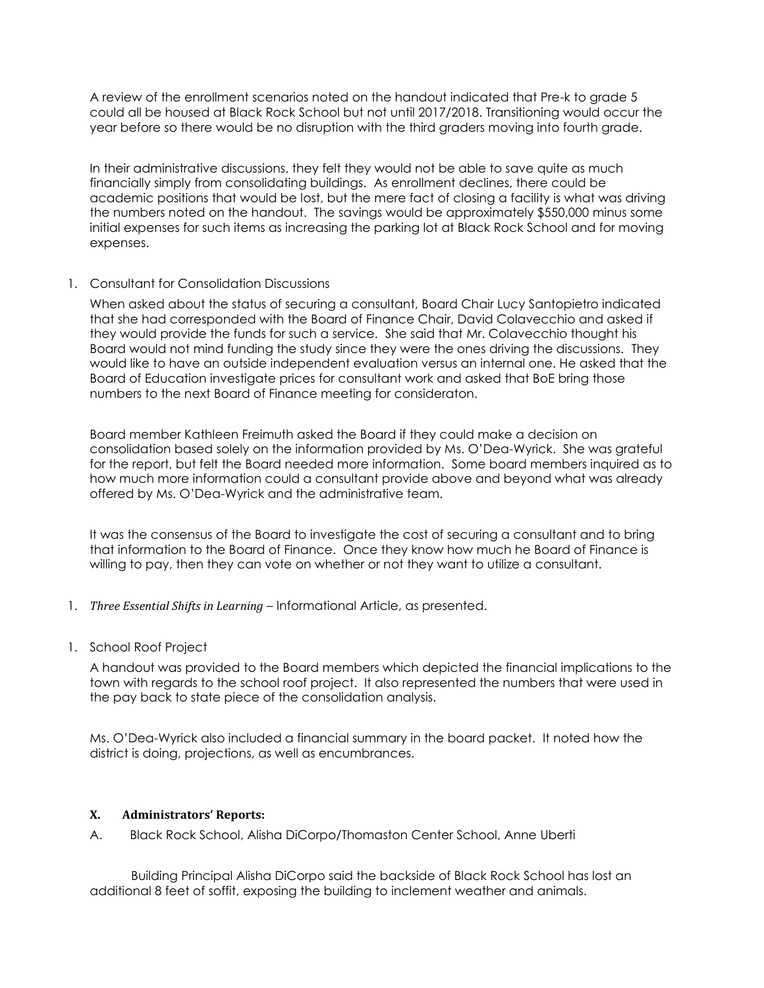A review of the enrollment scenarios noted on the handout indicated that Pre-k to grade 5 could all be housed at Black Rock School but not until 2017/2018. Transitioning would occur the year before so there would be no disruption with the third graders moving into fourth grade.

In their administrative discussions, they felt they would not be able to save quite as much financially simply from consolidating buildings. As enrollment declines, there could be academic positions that would be lost, but the mere fact of closing a facility is what was driving the numbers noted on the handout. The savings would be approximately \$550,000 minus some initial expenses for such items as increasing the parking lot at Black Rock School and for moving expenses.

## 1. Consultant for Consolidation Discussions

When asked about the status of securing a consultant, Board Chair Lucy Santopietro indicated that she had corresponded with the Board of Finance Chair, David Colavecchio and asked if they would provide the funds for such a service. She said that Mr. Colavecchio thought his Board would not mind funding the study since they were the ones driving the discussions. They would like to have an outside independent evaluation versus an internal one. He asked that the Board of Education investigate prices for consultant work and asked that BoE bring those numbers to the next Board of Finance meeting for consideraton.

Board member Kathleen Freimuth asked the Board if they could make a decision on consolidation based solely on the information provided by Ms. O'Dea-Wyrick. She was grateful for the report, but felt the Board needed more information. Some board members inquired as to how much more information could a consultant provide above and beyond what was already offered by Ms. O'Dea-Wyrick and the administrative team.

It was the consensus of the Board to investigate the cost of securing a consultant and to bring that information to the Board of Finance. Once they know how much he Board of Finance is willing to pay, then they can vote on whether or not they want to utilize a consultant.

1. *Three Essential Shifts in Learning* – Informational Article, as presented.

## 1. School Roof Project

A handout was provided to the Board members which depicted the financial implications to the town with regards to the school roof project. It also represented the numbers that were used in the pay back to state piece of the consolidation analysis.

Ms. O'Dea-Wyrick also included a financial summary in the board packet. It noted how the district is doing, projections, as well as encumbrances.

## **X. Administrators' Reports:**

A. Black Rock School, Alisha DiCorpo/Thomaston Center School, Anne Uberti

 Building Principal Alisha DiCorpo said the backside of Black Rock School has lost an additional 8 feet of soffit, exposing the building to inclement weather and animals.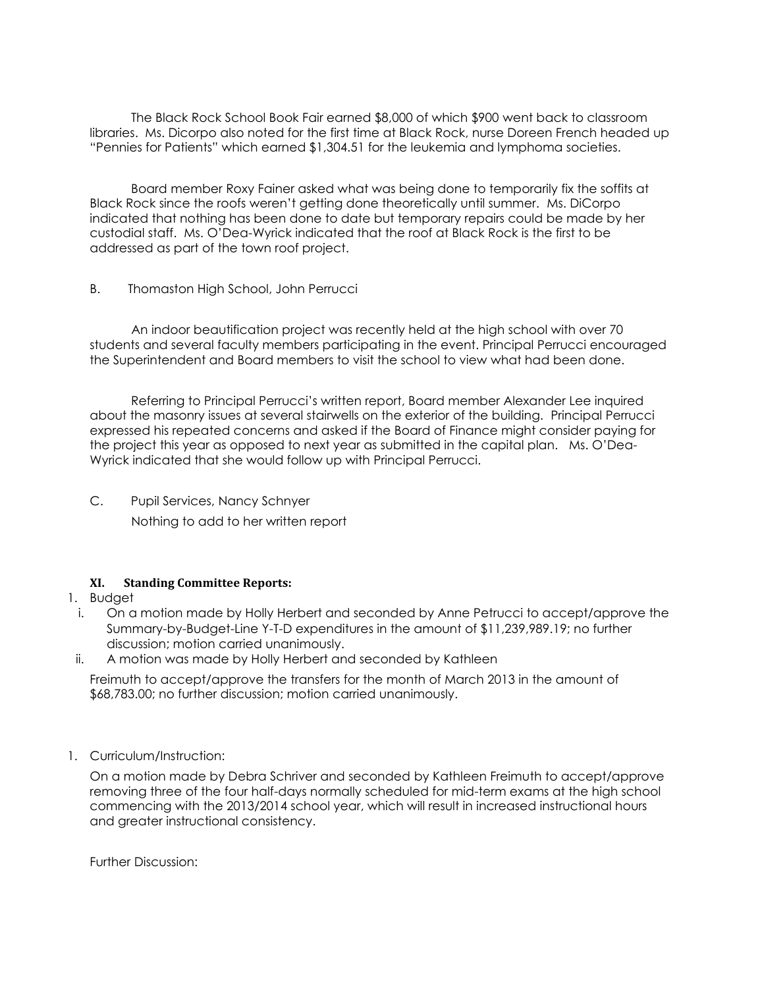The Black Rock School Book Fair earned \$8,000 of which \$900 went back to classroom libraries. Ms. Dicorpo also noted for the first time at Black Rock, nurse Doreen French headed up "Pennies for Patients" which earned \$1,304.51 for the leukemia and lymphoma societies.

 Board member Roxy Fainer asked what was being done to temporarily fix the soffits at Black Rock since the roofs weren't getting done theoretically until summer. Ms. DiCorpo indicated that nothing has been done to date but temporary repairs could be made by her custodial staff. Ms. O'Dea-Wyrick indicated that the roof at Black Rock is the first to be addressed as part of the town roof project.

B. Thomaston High School, John Perrucci

 An indoor beautification project was recently held at the high school with over 70 students and several faculty members participating in the event. Principal Perrucci encouraged the Superintendent and Board members to visit the school to view what had been done.

 Referring to Principal Perrucci's written report, Board member Alexander Lee inquired about the masonry issues at several stairwells on the exterior of the building. Principal Perrucci expressed his repeated concerns and asked if the Board of Finance might consider paying for the project this year as opposed to next year as submitted in the capital plan. Ms. O'Dea-Wyrick indicated that she would follow up with Principal Perrucci.

C. Pupil Services, Nancy Schnyer Nothing to add to her written report

## **XI. Standing Committee Reports:**

- 1. Budget
	- i. On a motion made by Holly Herbert and seconded by Anne Petrucci to accept/approve the Summary-by-Budget-Line Y-T-D expenditures in the amount of \$11,239,989.19; no further discussion; motion carried unanimously.
- ii. A motion was made by Holly Herbert and seconded by Kathleen

Freimuth to accept/approve the transfers for the month of March 2013 in the amount of \$68,783.00; no further discussion; motion carried unanimously.

1. Curriculum/Instruction:

On a motion made by Debra Schriver and seconded by Kathleen Freimuth to accept/approve removing three of the four half-days normally scheduled for mid-term exams at the high school commencing with the 2013/2014 school year, which will result in increased instructional hours and greater instructional consistency.

Further Discussion: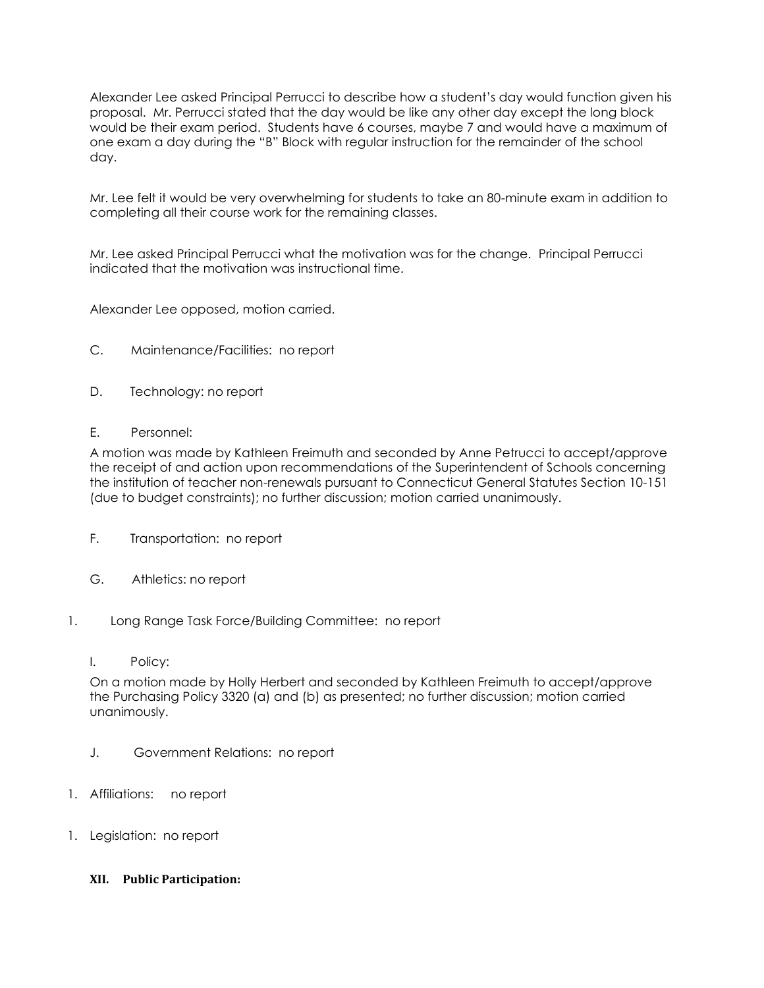Alexander Lee asked Principal Perrucci to describe how a student's day would function given his proposal. Mr. Perrucci stated that the day would be like any other day except the long block would be their exam period. Students have 6 courses, maybe 7 and would have a maximum of one exam a day during the "B" Block with regular instruction for the remainder of the school day.

Mr. Lee felt it would be very overwhelming for students to take an 80-minute exam in addition to completing all their course work for the remaining classes.

Mr. Lee asked Principal Perrucci what the motivation was for the change. Principal Perrucci indicated that the motivation was instructional time.

Alexander Lee opposed, motion carried.

- C. Maintenance/Facilities: no report
- D. Technology: no report
- E. Personnel:

A motion was made by Kathleen Freimuth and seconded by Anne Petrucci to accept/approve the receipt of and action upon recommendations of the Superintendent of Schools concerning the institution of teacher non-renewals pursuant to Connecticut General Statutes Section 10-151 (due to budget constraints); no further discussion; motion carried unanimously.

- F. Transportation: no report
- G. Athletics: no report
- 1. Long Range Task Force/Building Committee: no report
	- I. Policy:

On a motion made by Holly Herbert and seconded by Kathleen Freimuth to accept/approve the Purchasing Policy 3320 (a) and (b) as presented; no further discussion; motion carried unanimously.

- J. Government Relations: no report
- 1. Affiliations: no report
- 1. Legislation: no report
	- **XII. Public Participation:**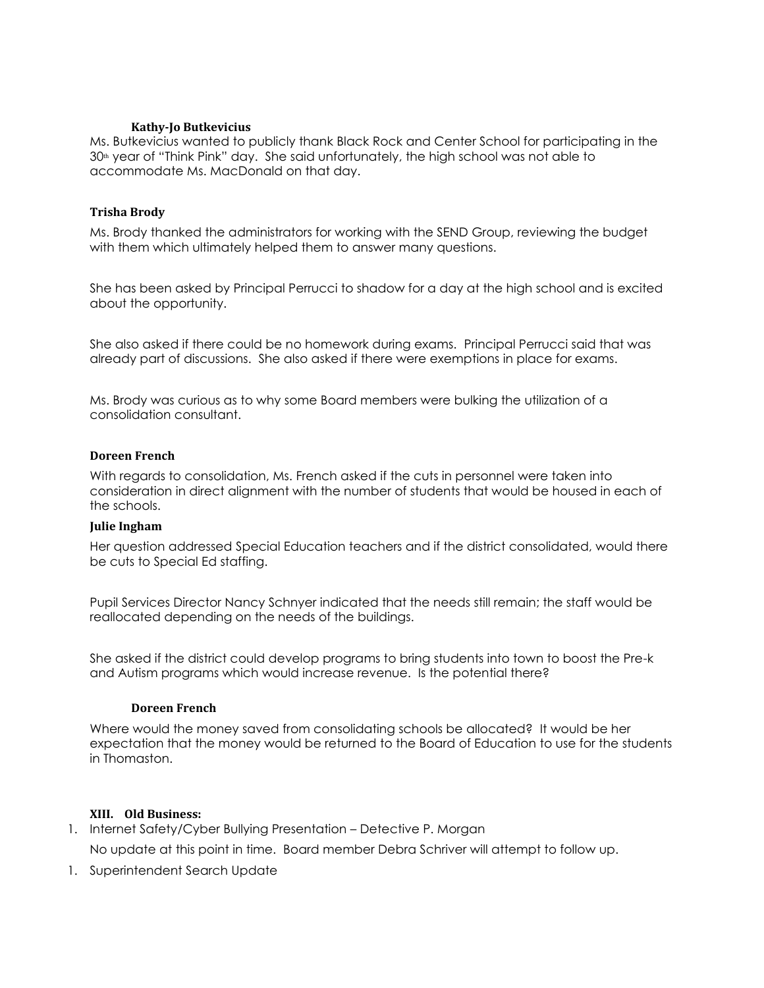#### **Kathy-Jo Butkevicius**

Ms. Butkevicius wanted to publicly thank Black Rock and Center School for participating in the  $30<sup>th</sup>$  year of "Think Pink" day. She said unfortunately, the high school was not able to accommodate Ms. MacDonald on that day.

## **Trisha Brody**

Ms. Brody thanked the administrators for working with the SEND Group, reviewing the budget with them which ultimately helped them to answer many questions.

She has been asked by Principal Perrucci to shadow for a day at the high school and is excited about the opportunity.

She also asked if there could be no homework during exams. Principal Perrucci said that was already part of discussions. She also asked if there were exemptions in place for exams.

Ms. Brody was curious as to why some Board members were bulking the utilization of a consolidation consultant.

## **Doreen French**

With regards to consolidation, Ms. French asked if the cuts in personnel were taken into consideration in direct alignment with the number of students that would be housed in each of the schools.

#### **Julie Ingham**

Her question addressed Special Education teachers and if the district consolidated, would there be cuts to Special Ed staffing.

Pupil Services Director Nancy Schnyer indicated that the needs still remain; the staff would be reallocated depending on the needs of the buildings.

She asked if the district could develop programs to bring students into town to boost the Pre-k and Autism programs which would increase revenue. Is the potential there?

#### **Doreen French**

Where would the money saved from consolidating schools be allocated? It would be her expectation that the money would be returned to the Board of Education to use for the students in Thomaston.

## **XIII. Old Business:**

- 1. Internet Safety/Cyber Bullying Presentation Detective P. Morgan No update at this point in time. Board member Debra Schriver will attempt to follow up.
- 1. Superintendent Search Update